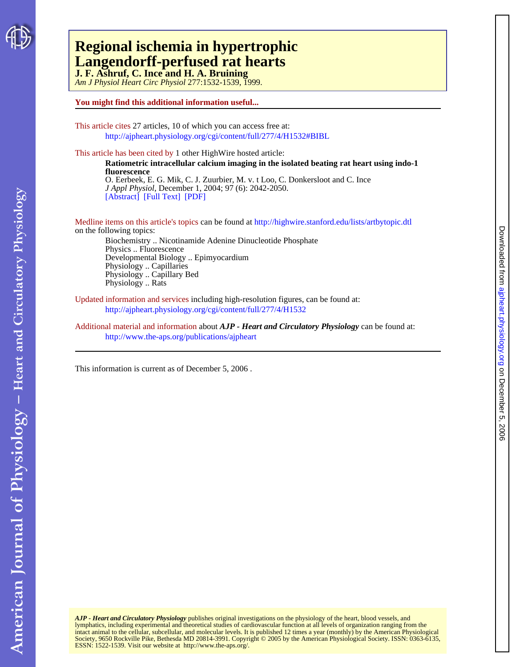

## **J. F. Ashruf, C. Ince and H. A. Bruining Langendorff-perfused rat hearts Regional ischemia in hypertrophic**

*Am J Physiol Heart Circ Physiol* 277:1532-1539, 1999.

### **You might find this additional information useful...**

This article cites 27 articles, 10 of which you can access free at: <http://ajpheart.physiology.org/cgi/content/full/277/4/H1532#BIBL>

This article has been cited by 1 other HighWire hosted article:

O. Eerbeek, E. G. Mik, C. J. Zuurbier, M. v. t Loo, C. Donkersloot and C. Ince **fluorescence Ratiometric intracellular calcium imaging in the isolated beating rat heart using indo-1**

[\[Abstract\]](http://www.jap.org/cgi/content/abstract/97/6/2042) [\[Full Text\]](http://www.jap.org/cgi/content/full/97/6/2042) [\[PDF\]](http://www.jap.org/cgi/reprint/97/6/2042) *J Appl Physiol*, December 1, 2004; 97 (6): 2042-2050.

on the following topics: Medline items on this article's topics can be found at<http://highwire.stanford.edu/lists/artbytopic.dtl> Physics .. Fluorescence Biochemistry .. Nicotinamide Adenine Dinucleotide Phosphate

Physiology .. Rats Physiology .. Capillary Bed Physiology .. Capillaries Developmental Biology .. Epimyocardium

Updated information and services including high-resolution figures, can be found at: <http://ajpheart.physiology.org/cgi/content/full/277/4/H1532>

Additional material and information about *AJP - Heart and Circulatory Physiology* can be found at: <http://www.the-aps.org/publications/ajpheart>

This information is current as of December 5, 2006 .

ESSN: 1522-1539. Visit our website at [http://www.the-aps.org/.](http://www.the-aps.org/) Society, 9650 Rockville Pike, Bethesda MD 20814-3991. Copyright © 2005 by the American Physiological Society. ISSN: 0363-6135, intact animal to the cellular, subcellular, and molecular levels. It is published 12 times a year (monthly) by the American Physiological AJP - Heart and Circulatory Physiology publishes original investigations on the physiology of the heart, blood vessels, and<br>lymphatics, including experimental and theoretical studies of cardiovascular function at all level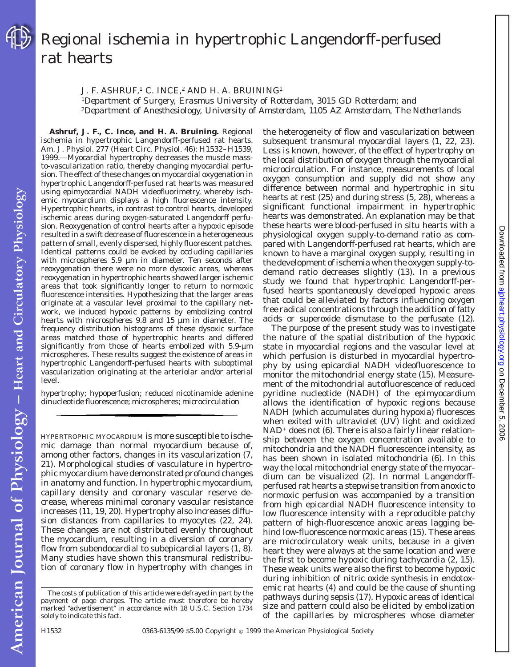

# Regional ischemia in hypertrophic Langendorff-perfused rat hearts

J. F. ASHRUF,<sup>1</sup> C. INCE,<sup>2</sup> AND H. A. BRUINING<sup>1</sup>

<sup>1</sup>*Department of Surgery, Erasmus University of Rotterdam, 3015 GD Rotterdam; and* <sup>2</sup>*Department of Anesthesiology, University of Amsterdam, 1105 AZ Amsterdam, The Netherlands*

**Ashruf, J. F., C. Ince, and H. A. Bruining.** Regional ischemia in hypertrophic Langendorff-perfused rat hearts. *Am. J. Physiol.* 277 (*Heart Circ. Physiol.* 46): H1532–H1539, 1999.—Myocardial hypertrophy decreases the muscle massto-vascularization ratio, thereby changing myocardial perfusion. The effect of these changes on myocardial oxygenation in hypertrophic Langendorff-perfused rat hearts was measured using epimyocardial NADH videofluorimetry, whereby ischemic myocardium displays a high fluorescence intensity. Hypertrophic hearts, in contrast to control hearts, developed ischemic areas during oxygen-saturated Langendorff perfusion. Reoxygenation of control hearts after a hypoxic episode resulted in a swift decrease of fluorescence in a heterogeneous pattern of small, evenly dispersed, highly fluorescent patches. Identical patterns could be evoked by occluding capillaries with microspheres 5.9 µm in diameter. Ten seconds after reoxygenation there were no more dysoxic areas, whereas reoxygenation in hypertrophic hearts showed larger ischemic areas that took significantly longer to return to normoxic fluorescence intensities. Hypothesizing that the larger areas originate at a vascular level proximal to the capillary network, we induced hypoxic patterns by embolizing control hearts with microspheres 9.8 and 15 µm in diameter. The frequency distribution histograms of these dysoxic surface areas matched those of hypertrophic hearts and differed significantly from those of hearts embolized with 5.9-µm microspheres. These results suggest the existence of areas in hypertrophic Langendorff-perfused hearts with suboptimal vascularization originating at the arteriolar and/or arterial level.

hypertrophy; hypoperfusion; reduced nicotinamide adenine dinucleotide fluorescence; microspheres; microcirculation

HYPERTROPHIC MYOCARDIUM is more susceptible to ischemic damage than normal myocardium because of, among other factors, changes in its vascularization (7, 21). Morphological studies of vasculature in hypertrophic myocardium have demonstrated profound changes in anatomy and function. In hypertrophic myocardium, capillary density and coronary vascular reserve decrease, whereas minimal coronary vascular resistance increases (11, 19, 20). Hypertrophy also increases diffusion distances from capillaries to myocytes (22, 24). These changes are not distributed evenly throughout the myocardium, resulting in a diversion of coronary flow from subendocardial to subepicardial layers (1, 8). Many studies have shown this transmural redistribution of coronary flow in hypertrophy with changes in the heterogeneity of flow and vascularization between subsequent transmural myocardial layers (1, 22, 23). Less is known, however, of the effect of hypertrophy on the local distribution of oxygen through the myocardial microcirculation. For instance, measurements of local oxygen consumption and supply did not show any difference between normal and hypertrophic in situ hearts at rest (25) and during stress (5, 28), whereas a significant functional impairment in hypertrophic hearts was demonstrated. An explanation may be that these hearts were blood-perfused in situ hearts with a physiological oxygen supply-to-demand ratio as compared with Langendorff-perfused rat hearts, which are known to have a marginal oxygen supply, resulting in the development of ischemia when the oxygen supply-todemand ratio decreases slightly (13). In a previous study we found that hypertrophic Langendorff-perfused hearts spontaneously developed hypoxic areas that could be alleviated by factors influencing oxygen free radical concentrations through the addition of fatty acids or superoxide dismutase to the perfusate (12).

The purpose of the present study was to investigate the nature of the spatial distribution of the hypoxic state in myocardial regions and the vascular level at which perfusion is disturbed in myocardial hypertrophy by using epicardial NADH videofluorescence to monitor the mitochondrial energy state (15). Measurement of the mitochondrial autofluorescence of reduced pyridine nucleotide (NADH) of the epimyocardium allows the identification of hypoxic regions because NADH (which accumulates during hypoxia) fluoresces when exited with ultraviolet (UV) light and oxidized  $NAD<sup>+</sup>$  does not (6). There is also a fairly linear relationship between the oxygen concentration available to mitochondria and the NADH fluorescence intensity, as has been shown in isolated mitochondria (6). In this way the local mitochondrial energy state of the myocardium can be visualized (2). In normal Langendorffperfused rat hearts a stepwise transition from anoxic to normoxic perfusion was accompanied by a transition from high epicardial NADH fluorescence intensity to low fluorescence intensity with a reproducible patchy pattern of high-fluorescence anoxic areas lagging behind low-fluorescence normoxic areas (15). These areas are microcirculatory weak units, because in a given heart they were always at the same location and were the first to become hypoxic during tachycardia (2, 15). These weak units were also the first to become hypoxic during inhibition of nitric oxide synthesis in endotoxemic rat hearts (4) and could be the cause of shunting pathways during sepsis (17). Hypoxic areas of identical size and pattern could also be elicited by embolization of the capillaries by microspheres whose diameter

American Journal of Physiology - Heart and Circulatory Physiology

The costs of publication of this article were defrayed in part by the payment of page charges. The article must therefore be hereby marked ''*advertisement*'' in accordance with 18 U.S.C. Section 1734 solely to indicate this fact.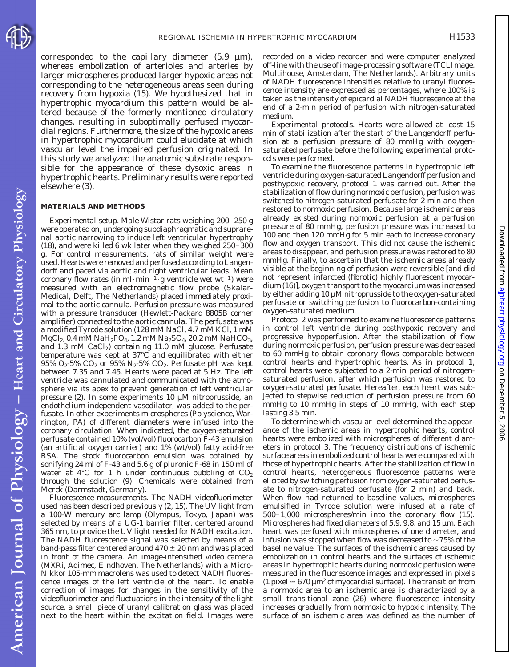

corresponded to the capillary diameter  $(5.9 \mu m)$ , whereas embolization of arterioles and arteries by larger microspheres produced larger hypoxic areas not corresponding to the heterogeneous areas seen during recovery from hypoxia (15). We hypothesized that in hypertrophic myocardium this pattern would be altered because of the formerly mentioned circulatory changes, resulting in suboptimally perfused myocardial regions. Furthermore, the size of the hypoxic areas in hypertrophic myocardium could elucidate at which vascular level the impaired perfusion originated. In this study we analyzed the anatomic substrate responsible for the appearance of these dysoxic areas in hypertrophic hearts. Preliminary results were reported elsewhere (3).

#### **MATERIALS AND METHODS**

*Experimental setup.* Male Wistar rats weighing 200–250 g were operated on, undergoing subdiaphragmatic and suprarenal aortic narrowing to induce left ventricular hypertrophy (18), and were killed 6 wk later when they weighed 250–300 g. For control measurements, rats of similar weight were used. Hearts were removed and perfused according to Langendorff and paced via aortic and right ventricular leads. Mean coronary flow rates (in ml·min<sup>-1</sup>·g ventricle wet wt<sup>-1</sup>) were measured with an electromagnetic flow probe (Skalar-Medical, Delft, The Netherlands) placed immediately proximal to the aortic cannula. Perfusion pressure was measured with a pressure transducer (Hewlett-Packard 8805B corner amplifier) connected to the aortic cannula. The perfusate was a modified Tyrode solution (128 mM NaCl, 4.7 mM KCl, 1 mM  $MgCl_2$ , 0.4 mM NaH<sub>2</sub>PO<sub>4</sub>, 1.2 mM Na<sub>2</sub>SO<sub>4</sub>, 20.2 mM NaHCO<sub>3</sub>, and  $1.3$  mM  $CaCl<sub>2</sub>$ ) containing  $11.0$  mM glucose. Perfusate temperature was kept at 37°C and equilibrated with either  $95\%$  O<sub>2</sub>-5% CO<sub>2</sub> or  $95\%$  N<sub>2</sub>-5% CO<sub>2</sub>. Perfusate pH was kept between 7.35 and 7.45. Hearts were paced at 5 Hz. The left ventricle was cannulated and communicated with the atmosphere via its apex to prevent generation of left ventricular pressure (2). In some experiments 10 µM nitroprusside, an endothelium-independent vasodilator, was added to the perfusate. In other experiments microspheres (Polyscience, Warrington, PA) of different diameters were infused into the coronary circulation. When indicated, the oxygen-saturated perfusate contained 10% (vol/vol) fluorocarbon F-43 emulsion (an artificial oxygen carrier) and 1% (wt/vol) fatty acid-free BSA. The stock fluorocarbon emulsion was obtained by sonifying 24 ml of F-43 and 5.6 g of pluronic F-68 in 150 ml of water at  $4^{\circ}$ C for 1 h under continuous bubbling of  $CO<sub>2</sub>$ through the solution (9). Chemicals were obtained from Merck (Darmstadt, Germany).

*Fluorescence measurements.* The NADH videofluorimeter used has been described previously (2, 15). The UV light from a 100-W mercury arc lamp (Olympus, Tokyo, Japan) was selected by means of a UG-1 barrier filter, centered around 365 nm, to provide the UV light needed for NADH excitation. The NADH fluorescence signal was selected by means of a band-pass filter centered around  $470 \pm 20$  nm and was placed in front of the camera. An image-intensified video camera (MXRi, Adimec, Eindhoven, The Netherlands) with a Micro-Nikkor 105-mm macrolens was used to detect NADH fluorescence images of the left ventricle of the heart. To enable correction of images for changes in the sensitivity of the videofluorimeter and fluctuations in the intensity of the light source, a small piece of uranyl calibration glass was placed next to the heart within the excitation field. Images were

recorded on a video recorder and were computer analyzed off-line with the use of image-processing software (TCLImage, Multihouse, Amsterdam, The Netherlands). Arbitrary units of NADH fluorescence intensities relative to uranyl fluorescence intensity are expressed as percentages, where 100% is taken as the intensity of epicardial NADH fluorescence at the end of a 2-min period of perfusion with nitrogen-saturated medium.

*Experimental protocols.* Hearts were allowed at least 15 min of stabilization after the start of the Langendorff perfusion at a perfusion pressure of 80 mmHg with oxygensaturated perfusate before the following experimental protocols were performed.

To examine the fluorescence patterns in hypertrophic left ventricle during oxygen-saturated Langendorff perfusion and posthypoxic recovery, *protocol 1* was carried out. After the stabilization of flow during normoxic perfusion, perfusion was switched to nitrogen-saturated perfusate for 2 min and then restored to normoxic perfusion. Because large ischemic areas already existed during normoxic perfusion at a perfusion pressure of 80 mmHg, perfusion pressure was increased to 100 and then 120 mmHg for 5 min each to increase coronary flow and oxygen transport. This did not cause the ischemic areas to disappear, and perfusion pressure was restored to 80 mmHg. Finally, to ascertain that the ischemic areas already visible at the beginning of perfusion were reversible [and did not represent infarcted (fibrotic) highly fluorescent myocardium (16)], oxygen transport to the myocardium was increased by either adding 10 µM nitroprusside to the oxygen-saturated perfusate or switching perfusion to fluorocarbon-containing oxygen-saturated medium.

*Protocol 2* was performed to examine fluorescence patterns in control left ventricle during posthypoxic recovery and progressive hypoperfusion. After the stabilization of flow during normoxic perfusion, perfusion pressure was decreased to 60 mmHg to obtain coronary flows comparable between control hearts and hypertrophic hearts. As in *protocol 1*, control hearts were subjected to a 2-min period of nitrogensaturated perfusion, after which perfusion was restored to oxygen-saturated perfusate. Hereafter, each heart was subjected to stepwise reduction of perfusion pressure from 60 mmHg to 10 mmHg in steps of 10 mmHg, with each step lasting 3.5 min.

To determine which vascular level determined the appearance of the ischemic areas in hypertrophic hearts, control hearts were embolized with microspheres of different diameters in *protocol 3*. The frequency distributions of ischemic surface areas in embolized control hearts were compared with those of hypertrophic hearts. After the stabilization of flow in control hearts, heterogeneous fluorescence patterns were elicited by switching perfusion from oxygen-saturated perfusate to nitrogen-saturated perfusate (for 2 min) and back. When flow had returned to baseline values, microspheres emulsified in Tyrode solution were infused at a rate of 500–1,000 microspheres/min into the coronary flow (15). Microspheres had fixed diameters of 5.9, 9.8, and 15 µm. Each heart was perfused with microspheres of one diameter, and infusion was stopped when flow was decreased to  $\sim$  75% of the baseline value. The surfaces of the ischemic areas caused by embolization in control hearts and the surfaces of ischemic areas in hypertrophic hearts during normoxic perfusion were measured in the fluorescence images and expressed in pixels (1 pixel  $\approx$  670  $\mu$ m<sup>2</sup> of myocardial surface). The transition from a normoxic area to an ischemic area is characterized by a small transitional zone (26) where fluorescence intensity increases gradually from normoxic to hypoxic intensity. The surface of an ischemic area was defined as the number of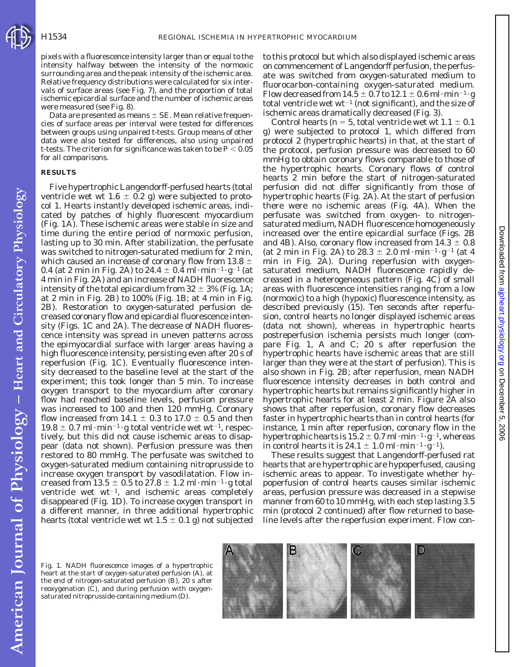pixels with a fluorescence intensity larger than or equal to the intensity halfway between the intensity of the normoxic surrounding area and the peak intensity of the ischemic area. Relative frequency distributions were calculated for six intervals of surface areas (see Fig. 7), and the proportion of total ischemic epicardial surface and the number of ischemic areas were measured (see Fig. 8).

Data are presented as means  $\pm$  SE. Mean relative frequencies of surface areas per interval were tested for differences between groups using unpaired *t*-tests. Group means of other data were also tested for differences, also using unpaired *t*-tests. The criterion for significance was taken to be  $P < 0.05$ for all comparisons.

#### **RESULTS**

Five hypertrophic Langendorff-perfused hearts (total ventricle wet wt  $1.6 \pm 0.2$  g) were subjected to *protocol 1*. Hearts instantly developed ischemic areas, indicated by patches of highly fluorescent myocardium (Fig. 1*A*). These ischemic areas were stable in size and time during the entire period of normoxic perfusion, lasting up to 30 min. After stabilization, the perfusate was switched to nitrogen-saturated medium for 2 min, which caused an increase of coronary flow from 13.8  $\pm$ 0.4 (at 2 min in Fig. 2A) to 24.4  $\pm$  0.4 ml·min<sup>-1</sup>·g<sup>-1</sup> (at 4 min in Fig. 2*A*) and an increase of NADH fluorescence intensity of the total epicardium from  $32 \pm 3\%$  (Fig. 1A; at 2 min in Fig. 2*B*) to 100% (Fig. 1*B*; at 4 min in Fig. 2*B*). Restoration to oxygen-saturated perfusion decreased coronary flow and epicardial fluorescence intensity (Figs. 1*C* and 2*A*). The decrease of NADH fluorescence intensity was spread in uneven patterns across the epimyocardial surface with larger areas having a high fluorescence intensity, persisting even after 20 s of reperfusion (Fig. 1*C*). Eventually fluorescence intensity decreased to the baseline level at the start of the experiment; this took longer than 5 min. To increase oxygen transport to the myocardium after coronary flow had reached baseline levels, perfusion pressure was increased to 100 and then 120 mmHg. Coronary flow increased from 14.1  $\pm$  0.3 to 17.0  $\pm$  0.5 and then  $19.8 \pm 0.7$  ml·min<sup>-1</sup>·g total ventricle wet wt<sup>-1</sup>, respectively, but this did not cause ischemic areas to disappear (data not shown). Perfusion pressure was then restored to 80 mmHg. The perfusate was switched to oxygen-saturated medium containing nitroprusside to increase oxygen transport by vasodilatation. Flow increased from 13.5  $\pm$  0.5 to 27.8  $\pm$  1.2 ml·min<sup>-1</sup>·g total ventricle wet  $wt^{-1}$ , and ischemic areas completely disappeared (Fig. 1*D*). To increase oxygen transport in a different manner, in three additional hypertrophic hearts (total ventricle wet wt 1.5  $\pm$  0.1 g) not subjected

to this protocol but which also displayed ischemic areas on commencement of Langendorff perfusion, the perfusate was switched from oxygen-saturated medium to fluorocarbon-containing oxygen-saturated medium. Flow decreased from  $14.5 \pm 0.7$  to  $12.1 \pm 0.6$  ml·min<sup>-1</sup>·g total ventricle wet  $wt^{-1}$  (not significant), and the size of ischemic areas dramatically decreased (Fig. 3).

Control hearts ( $n = 5$ , total ventricle wet wt  $1.1 \pm 0.1$ g) were subjected to *protocol 1*, which differed from *protocol 2* (hypertrophic hearts) in that, at the start of the protocol, perfusion pressure was decreased to 60 mmHg to obtain coronary flows comparable to those of the hypertrophic hearts. Coronary flows of control hearts 2 min before the start of nitrogen-saturated perfusion did not differ significantly from those of hypertrophic hearts (Fig. 2*A*). At the start of perfusion there were no ischemic areas (Fig. 4*A*). When the perfusate was switched from oxygen- to nitrogensaturated medium, NADH fluorescence homogeneously increased over the entire epicardial surface (Figs. 2*B* and 4*B*). Also, coronary flow increased from  $14.3 \pm 0.8$ (at 2 min in Fig. 2A) to 28.3  $\pm$  2.0 ml·min<sup>-1</sup>·g<sup>-1</sup> (at 4 min in Fig. 2*A*). During reperfusion with oxygensaturated medium, NADH fluorescence rapidly decreased in a heterogeneous pattern (Fig. 4*C*) of small areas with fluorescence intensities ranging from a low (normoxic) to a high (hypoxic) fluorescence intensity, as described previously (15). Ten seconds after reperfusion, control hearts no longer displayed ischemic areas (data not shown), whereas in hypertrophic hearts postreperfusion ischemia persists much longer (compare Fig. 1, *A* and *C*; 20 s after reperfusion the hypertrophic hearts have ischemic areas that are still larger than they were at the start of perfusion). This is also shown in Fig. 2*B*; after reperfusion, mean NADH fluorescence intensity decreases in both control and hypertrophic hearts but remains significantly higher in hypertrophic hearts for at least 2 min. Figure 2*A* also shows that after reperfusion, coronary flow decreases faster in hypertrophic hearts than in control hearts (for instance, 1 min after reperfusion, coronary flow in the hypertrophic hearts is  $15.2 \pm 0.7$  ml·min<sup>-1</sup>·g<sup>-1</sup>, whereas in control hearts it is  $24.1 \pm 1.0$  ml·min<sup>-1</sup>·g<sup>-1</sup>).

These results suggest that Langendorff-perfused rat hearts that are hypertrophic are hypoperfused, causing ischemic areas to appear. To investigate whether hypoperfusion of control hearts causes similar ischemic areas, perfusion pressure was decreased in a stepwise manner from 60 to 10 mmHg, with each step lasting 3.5 min (*protocol 2* continued) after flow returned to baseline levels after the reperfusion experiment. Flow con-

Fig. 1. NADH fluorescence images of a hypertrophic heart at the start of oxygen-saturated perfusion (*A*), at the end of nitrogen-saturated perfusion (*B*), 20 s after reoxygenation (*C*), and during perfusion with oxygensaturated nitroprusside-containing medium (*D*).

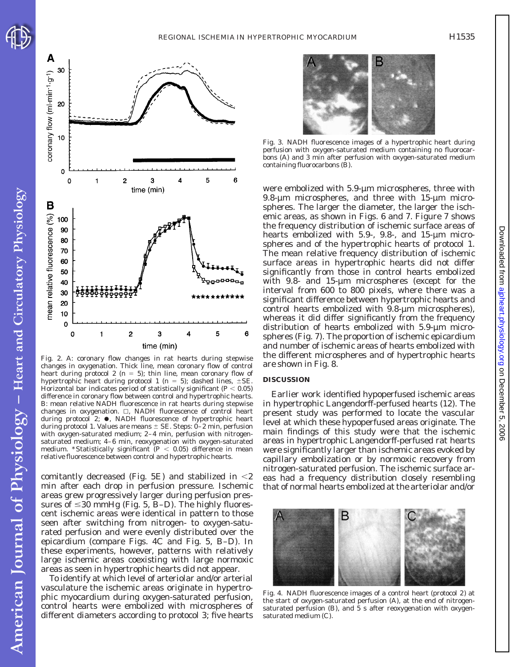

American Journal of Physiology - Heart and Circulatory Physiology



Fig. 2. A: coronary flow changes in rat hearts during stepwise changes in oxygenation. Thick line, mean coronary flow of control heart during *protocol 2* ( $n = 5$ ); thin line, mean coronary flow of hypertrophic heart during *protocol 1* ( $n = 5$ ); dashed lines,  $\pm$ SE. Horizontal bar indicates period of statistically significant ( $P < 0.05$ ) difference in coronary flow between control and hypertrophic hearts. *B*: mean relative NADH fluorescence in rat hearts during stepwise changes in oxygenation.  $\Box$ , NADH fluorescence of control heart during *protocol 2*;  $\bullet$ , NADH fluorescence of hypertrophic heart during *protocol 1*. Values are means  $\pm$  SE. Steps: 0–2 min, perfusion with oxygen-saturated medium; 2–4 min, perfusion with nitrogensaturated medium; 4–6 min, reoxygenation with oxygen-saturated medium. \*Statistically significant  $(P < 0.05)$  difference in mean relative fluorescence between control and hypertrophic hearts.

comitantly decreased (Fig.  $5E$ ) and stabilized in  $\leq$ 2 min after each drop in perfusion pressure. Ischemic areas grew progressively larger during perfusion pressures of  $\leq$ 30 mmHg (Fig. 5, *B-D*). The highly fluorescent ischemic areas were identical in pattern to those seen after switching from nitrogen- to oxygen-saturated perfusion and were evenly distributed over the epicardium (compare Figs. 4*C* and Fig. 5, *B–D*). In these experiments, however, patterns with relatively large ischemic areas coexisting with large normoxic areas as seen in hypertrophic hearts did not appear.

To identify at which level of arteriolar and/or arterial vasculature the ischemic areas originate in hypertrophic myocardium during oxygen-saturated perfusion, control hearts were embolized with microspheres of different diameters according to *protocol 3*; five hearts



Fig. 3. NADH fluorescence images of a hypertrophic heart during perfusion with oxygen-saturated medium containing no fluorocarbons (*A*) and 3 min after perfusion with oxygen-saturated medium containing fluorocarbons (*B*).

were embolized with 5.9-µm microspheres, three with 9.8- $\mu$ m microspheres, and three with 15- $\mu$ m microspheres. The larger the diameter, the larger the ischemic areas, as shown in Figs. 6 and 7. Figure 7 shows the frequency distribution of ischemic surface areas of hearts embolized with 5.9-, 9.8-, and 15-µm microspheres and of the hypertrophic hearts of *protocol 1*. The mean relative frequency distribution of ischemic surface areas in hypertrophic hearts did not differ significantly from those in control hearts embolized with 9.8- and 15-µm microspheres (except for the interval from 600 to 800 pixels, where there was a significant difference between hypertrophic hearts and control hearts embolized with 9.8-µm microspheres), whereas it did differ significantly from the frequency distribution of hearts embolized with 5.9-µm microspheres (Fig. 7). The proportion of ischemic epicardium and number of ischemic areas of hearts embolized with the different microspheres and of hypertrophic hearts are shown in Fig. 8.

#### **DISCUSSION**

Earlier work identified hypoperfused ischemic areas in hypertrophic Langendorff-perfused hearts (12). The present study was performed to locate the vascular level at which these hypoperfused areas originate. The main findings of this study were that the ischemic areas in hypertrophic Langendorff-perfused rat hearts were significantly larger than ischemic areas evoked by capillary embolization or by normoxic recovery from nitrogen-saturated perfusion. The ischemic surface areas had a frequency distribution closely resembling that of normal hearts embolized at the arteriolar and/or



Fig. 4. NADH fluorescence images of a control heart (*protocol 2*) at the start of oxygen-saturated perfusion (*A*), at the end of nitrogensaturated perfusion (*B*), and 5 s after reoxygenation with oxygensaturated medium (*C*).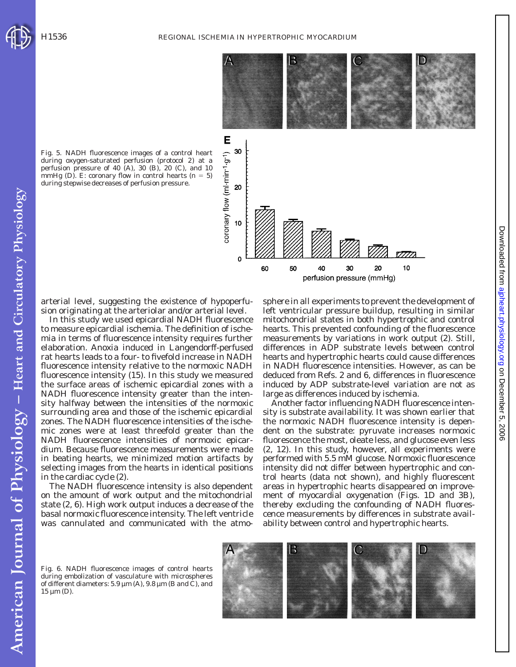

Fig. 5. NADH fluorescence images of a control heart during oxygen-saturated perfusion (*protocol 2*) at a perfusion pressure of 40 (*A*), 30 (*B*), 20 (*C*), and 10 mmHg  $(D)$ . *E*: coronary flow in control hearts  $(n = 5)$ during stepwise decreases of perfusion pressure.

arterial level, suggesting the existence of hypoperfusion originating at the arteriolar and/or arterial level.

In this study we used epicardial NADH fluorescence to measure epicardial ischemia. The definition of ischemia in terms of fluorescence intensity requires further elaboration. Anoxia induced in Langendorff-perfused rat hearts leads to a four- to fivefold increase in NADH fluorescence intensity relative to the normoxic NADH fluorescence intensity (15). In this study we measured the surface areas of ischemic epicardial zones with a NADH fluorescence intensity greater than the intensity halfway between the intensities of the normoxic surrounding area and those of the ischemic epicardial zones. The NADH fluorescence intensities of the ischemic zones were at least threefold greater than the NADH fluorescence intensities of normoxic epicardium. Because fluorescence measurements were made in beating hearts, we minimized motion artifacts by selecting images from the hearts in identical positions in the cardiac cycle (2).

The NADH fluorescence intensity is also dependent on the amount of work output and the mitochondrial state (2, 6). High work output induces a decrease of the basal normoxic fluorescence intensity. The left ventricle was cannulated and communicated with the atmosphere in all experiments to prevent the development of left ventricular pressure buildup, resulting in similar mitochondrial states in both hypertrophic and control hearts. This prevented confounding of the fluorescence measurements by variations in work output (2). Still, differences in ADP substrate levels between control hearts and hypertrophic hearts could cause differences in NADH fluorescence intensities. However, as can be deduced from Refs. 2 and 6, differences in fluorescence induced by ADP substrate-level variation are not as large as differences induced by ischemia.

Another factor influencing NADH fluorescence intensity is substrate availability. It was shown earlier that the normoxic NADH fluorescence intensity is dependent on the substrate: pyruvate increases normoxic fluorescence the most, oleate less, and glucose even less (2, 12). In this study, however, all experiments were performed with 5.5 mM glucose. Normoxic fluorescence intensity did not differ between hypertrophic and control hearts (data not shown), and highly fluorescent areas in hypertrophic hearts disappeared on improvement of myocardial oxygenation (Figs. 1*D* and 3*B*), thereby excluding the confounding of NADH fluorescence measurements by differences in substrate availability between control and hypertrophic hearts.

American Journal of Physiology - Heart and Circulatory Physiology

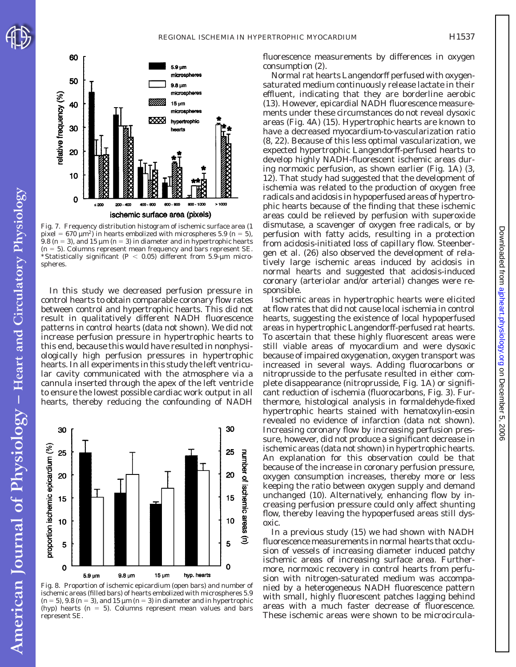



Fig. 7. Frequency distribution histogram of ischemic surface area (1 pixel =  $670 \mu m^2$ ) in hearts embolized with microspheres 5.9 ( $n = 5$ ), 9.8 ( $n = 3$ ), and 15  $\mu$ m ( $n = 3$ ) in diameter and in hypertrophic hearts  $(n = 5)$ . Columns represent mean frequency and bars represent SE. \*Statistically significant ( $P < 0.05$ ) different from 5.9-µm microspheres.

In this study we decreased perfusion pressure in control hearts to obtain comparable coronary flow rates between control and hypertrophic hearts. This did not result in qualitatively different NADH fluorescence patterns in control hearts (data not shown). We did not increase perfusion pressure in hypertrophic hearts to this end, because this would have resulted in nonphysiologically high perfusion pressures in hypertrophic hearts. In all experiments in this study the left ventricular cavity communicated with the atmosphere via a cannula inserted through the apex of the left ventricle to ensure the lowest possible cardiac work output in all hearts, thereby reducing the confounding of NADH



Fig. 8. Proportion of ischemic epicardium (open bars) and number of ischemic areas (filled bars) of hearts embolized with microspheres 5.9  $(n = 5)$ , 9.8  $(n = 3)$ , and 15  $\mu$ m  $(n = 3)$  in diameter and in hypertrophic (hyp) hearts  $(n = 5)$ . Columns represent mean values and bars represent SE.

fluorescence measurements by differences in oxygen consumption (2).

Normal rat hearts Langendorff perfused with oxygensaturated medium continuously release lactate in their effluent, indicating that they are borderline aerobic (13). However, epicardial NADH fluorescence measurements under these circumstances do not reveal dysoxic areas (Fig. 4*A*) (15). Hypertrophic hearts are known to have a decreased myocardium-to-vascularization ratio (8, 22). Because of this less optimal vascularization, we expected hypertrophic Langendorff-perfused hearts to develop highly NADH-fluorescent ischemic areas during normoxic perfusion, as shown earlier (Fig. 1*A*) (3, 12). That study had suggested that the development of ischemia was related to the production of oxygen free radicals and acidosis in hypoperfused areas of hypertrophic hearts because of the finding that these ischemic areas could be relieved by perfusion with superoxide dismutase, a scavenger of oxygen free radicals, or by perfusion with fatty acids, resulting in a protection from acidosis-initiated loss of capillary flow. Steenbergen et al. (26) also observed the development of relatively large ischemic areas induced by acidosis in normal hearts and suggested that acidosis-induced coronary (arteriolar and/or arterial) changes were responsible.

Ischemic areas in hypertrophic hearts were elicited at flow rates that did not cause local ischemia in control hearts, suggesting the existence of local hypoperfused areas in hypertrophic Langendorff-perfused rat hearts. To ascertain that these highly fluorescent areas were still viable areas of myocardium and were dysoxic because of impaired oxygenation, oxygen transport was increased in several ways. Adding fluorocarbons or nitroprusside to the perfusate resulted in either complete disappearance (nitroprusside, Fig. 1*A*) or significant reduction of ischemia (fluorocarbons, Fig. 3). Furthermore, histological analysis in formaldehyde-fixed hypertrophic hearts stained with hematoxylin-eosin revealed no evidence of infarction (data not shown). Increasing coronary flow by increasing perfusion pressure, however, did not produce a significant decrease in ischemic areas (data not shown) in hypertrophic hearts. An explanation for this observation could be that because of the increase in coronary perfusion pressure, oxygen consumption increases, thereby more or less keeping the ratio between oxygen supply and demand unchanged (10). Alternatively, enhancing flow by increasing perfusion pressure could only affect shunting flow, thereby leaving the hypoperfused areas still dysoxic.

In a previous study (15) we had shown with NADH fluorescence measurements in normal hearts that occlusion of vessels of increasing diameter induced patchy ischemic areas of increasing surface area. Furthermore, normoxic recovery in control hearts from perfusion with nitrogen-saturated medium was accompanied by a heterogeneous NADH fluorescence pattern with small, highly fluorescent patches lagging behind areas with a much faster decrease of fluorescence. These ischemic areas were shown to be microcirculaDownloadedfrom [ajpheart.physiology.org](http://ajpheart.physiology.org) on December 5, 2006

Downloaded from ajpheart.physiology.org on December 5, 2006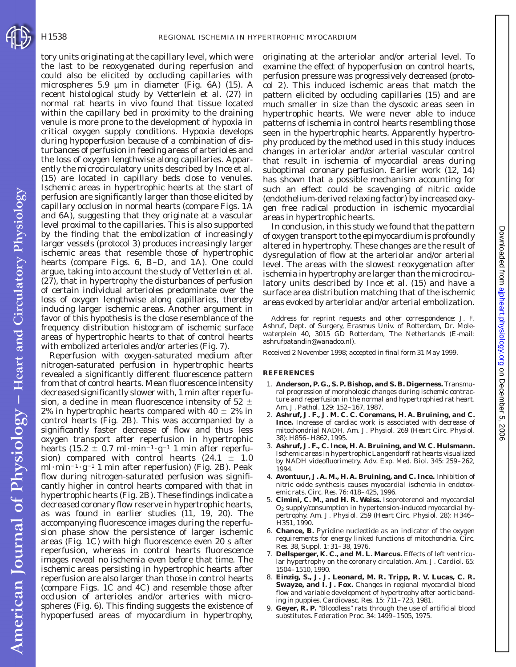American Journal of Physiology - Heart and Circulatory Physiology

tory units originating at the capillary level, which were the last to be reoxygenated during reperfusion and could also be elicited by occluding capillaries with microspheres 5.9 µm in diameter (Fig. 6*A*) (15). A recent histological study by Vetterlein et al. (27) in normal rat hearts in vivo found that tissue located within the capillary bed in proximity to the draining venule is more prone to the development of hypoxia in critical oxygen supply conditions. Hypoxia develops during hypoperfusion because of a combination of disturbances of perfusion in feeding areas of arterioles and the loss of oxygen lengthwise along capillaries. Apparently the microcirculatory units described by Ince et al. (15) are located in capillary beds close to venules. Ischemic areas in hypertrophic hearts at the start of perfusion are significantly larger than those elicited by capillary occlusion in normal hearts (compare Figs. 1*A* and 6*A*), suggesting that they originate at a vascular level proximal to the capillaries. This is also supported by the finding that the embolization of increasingly larger vessels (*protocol 3*) produces increasingly larger ischemic areas that resemble those of hypertrophic hearts (compare Figs. 6, *B–D*, and 1*A*). One could argue, taking into account the study of Vetterlein et al. (27), that in hypertrophy the disturbances of perfusion of certain individual arterioles predominate over the loss of oxygen lengthwise along capillaries, thereby inducing larger ischemic areas. Another argument in favor of this hypothesis is the close resemblance of the frequency distribution histogram of ischemic surface areas of hypertrophic hearts to that of control hearts with embolized arterioles and/or arteries (Fig. 7).

Reperfusion with oxygen-saturated medium after nitrogen-saturated perfusion in hypertrophic hearts revealed a significantly different fluorescence pattern from that of control hearts. Mean fluorescence intensity decreased significantly slower with, 1 min after reperfusion, a decline in mean fluorescence intensity of 52  $\pm$ 2% in hypertrophic hearts compared with  $40 \pm 2\%$  in control hearts (Fig. 2*B*). This was accompanied by a significantly faster decrease of flow and thus less oxygen transport after reperfusion in hypertrophic hearts (15.2  $\pm$  0.7 ml·min<sup>-1</sup>·g<sup>-1</sup> 1 min after reperfusion) compared with control hearts  $(24.1 \pm 1.0$ ml·min<sup>-1</sup>·g<sup>-1</sup> 1 min after reperfusion) (Fig. 2*B*). Peak flow during nitrogen-saturated perfusion was significantly higher in control hearts compared with that in hypertrophic hearts (Fig. 2*B*). These findings indicate a decreased coronary flow reserve in hypertrophic hearts, as was found in earlier studies (11, 19, 20). The accompanying fluorescence images during the reperfusion phase show the persistence of larger ischemic areas (Fig. 1*C*) with high fluorescence even 20 s after reperfusion, whereas in control hearts fluorescence images reveal no ischemia even before that time. The ischemic areas persisting in hypertrophic hearts after reperfusion are also larger than those in control hearts (compare Figs. 1*C* and 4*C*) and resemble those after occlusion of arterioles and/or arteries with microspheres (Fig. 6). This finding suggests the existence of hypoperfused areas of myocardium in hypertrophy,

originating at the arteriolar and/or arterial level. To examine the effect of hypoperfusion on control hearts, perfusion pressure was progressively decreased (*protocol 2*). This induced ischemic areas that match the pattern elicited by occluding capillaries (15) and are much smaller in size than the dysoxic areas seen in hypertrophic hearts. We were never able to induce patterns of ischemia in control hearts resembling those seen in the hypertrophic hearts. Apparently hypertrophy produced by the method used in this study induces changes in arteriolar and/or arterial vascular control that result in ischemia of myocardial areas during suboptimal coronary perfusion. Earlier work (12, 14) has shown that a possible mechanism accounting for such an effect could be scavenging of nitric oxide (endothelium-derived relaxing factor) by increased oxygen free radical production in ischemic myocardial areas in hypertrophic hearts.

In conclusion, in this study we found that the pattern of oxygen transport to the epimyocardium is profoundly altered in hypertrophy. These changes are the result of dysregulation of flow at the arteriolar and/or arterial level. The areas with the slowest reoxygenation after ischemia in hypertrophy are larger than the microcirculatory units described by Ince et al. (15) and have a surface area distribution matching that of the ischemic areas evoked by arteriolar and/or arterial embolization.

Address for reprint requests and other correspondence: J. F. Ashruf, Dept. of Surgery, Erasmus Univ. of Rotterdam, Dr. Molewaterplein 40, 3015 GD Rotterdam, The Netherlands (E-mail: ashrufpatandin@wanadoo.nl).

Received 2 November 1998; accepted in final form 31 May 1999.

#### **REFERENCES**

- 1. **Anderson, P. G., S. P. Bishop, and S. B. Digerness.** Transmural progression of morphologic changes during ischemic contracture and reperfusion in the normal and hypertrophied rat heart. *Am. J. Pathol*. 129: 152–167, 1987.
- 2. **Ashruf, J. F., J. M. C. C. Coremans, H. A. Bruining, and C. Ince.** Increase of cardiac work is associated with decrease of mitochondrial NADH. *Am. J. Physiol*. 269 (*Heart Circ. Physiol*. 38): H856–H862, 1995.
- 3. **Ashruf, J. F., C. Ince, H. A. Bruining, and W. C. Hulsmann.** Ischemic areas in hypertrophic Langendorff rat hearts visualized by NADH videofluorimetry. *Adv. Exp. Med. Biol*. 345: 259–262, 1994.
- 4. **Avontuur, J. A. M., H. A. Bruining, and C. Ince.** Inhibition of nitric oxide synthesis causes myocardial ischemia in endotoxemic rats. *Circ. Res*. 76: 418–425, 1996.
- 5. **Cimini, C. M., and H. R. Weiss.** Isoproterenol and myocardial O2 supply/consumption in hypertension-induced myocardial hypertrophy. *Am. J. Physiol*. 259 (*Heart Circ. Physiol*. 28): H346– H351, 1990.
- 6. **Chance, B.** Pyridine nucleotide as an indicator of the oxygen requirements for energy linked functions of mitochondria. *Circ. Res*. 38, *Suppl*. 1: 31–38, 1976.
- 7. **Dellsperger, K. C., and M. L. Marcus.** Effects of left ventricular hypertrophy on the coronary circulation. *Am. J. Cardiol*. 65: 1504–1510, 1990.
- 8. **Einzig, S., J. J. Leonard, M. R. Tripp, R. V. Lucas, C. R. Swayze, and I. J. Fox.** Changes in regional myocardial blood flow and variable development of hypertrophy after aortic banding in puppies. *Cardiovasc. Res*. 15: 711–723, 1981.
- 9. **Geyer, R. P.** ''Bloodless'' rats through the use of artificial blood substitutes. *Federation Proc*. 34: 1499–1505, 1975.